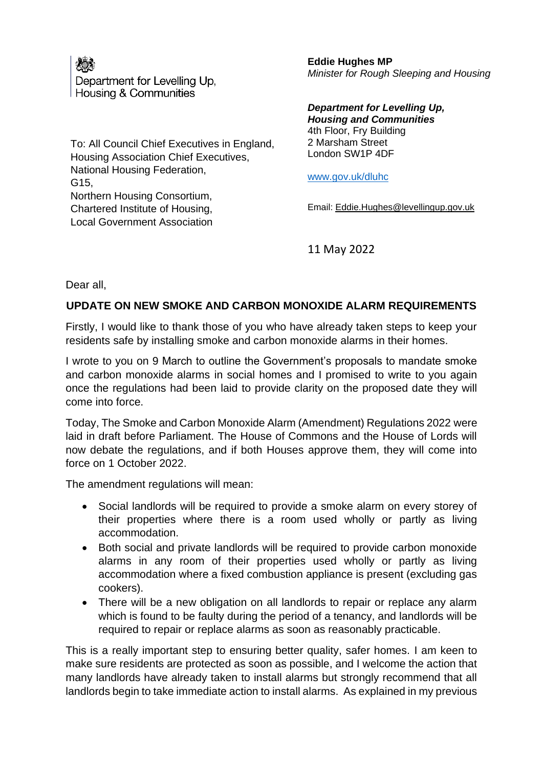

Department for Levelling Up. **Housing & Communities** 

To: All Council Chief Executives in England, Housing Association Chief Executives, National Housing Federation, G15, Northern Housing Consortium, Chartered Institute of Housing, Local Government Association

**Eddie Hughes MP** *Minister for Rough Sleeping and Housing*

*Department for Levelling Up, Housing and Communities* 4th Floor, Fry Building 2 Marsham Street London SW1P 4DF

[www.gov.uk/dluhc](http://www.gov.uk/dluhc)

Email: [Eddie.Hughes@levellingup.gov.uk](mailto:Eddie.Hughes@communities.gov.uk)

11 May 2022

Dear all,

## **UPDATE ON NEW SMOKE AND CARBON MONOXIDE ALARM REQUIREMENTS**

Firstly, I would like to thank those of you who have already taken steps to keep your residents safe by installing smoke and carbon monoxide alarms in their homes.

I wrote to you on 9 March to outline the Government's proposals to mandate smoke and carbon monoxide alarms in social homes and I promised to write to you again once the regulations had been laid to provide clarity on the proposed date they will come into force.

Today, The Smoke and Carbon Monoxide Alarm (Amendment) Regulations 2022 were laid in draft before Parliament. The House of Commons and the House of Lords will now debate the regulations, and if both Houses approve them, they will come into force on 1 October 2022.

The amendment regulations will mean:

- Social landlords will be required to provide a smoke alarm on every storey of their properties where there is a room used wholly or partly as living accommodation.
- Both social and private landlords will be required to provide carbon monoxide alarms in any room of their properties used wholly or partly as living accommodation where a fixed combustion appliance is present (excluding gas cookers).
- There will be a new obligation on all landlords to repair or replace any alarm which is found to be faulty during the period of a tenancy, and landlords will be required to repair or replace alarms as soon as reasonably practicable.

This is a really important step to ensuring better quality, safer homes. I am keen to make sure residents are protected as soon as possible, and I welcome the action that many landlords have already taken to install alarms but strongly recommend that all landlords begin to take immediate action to install alarms. As explained in my previous